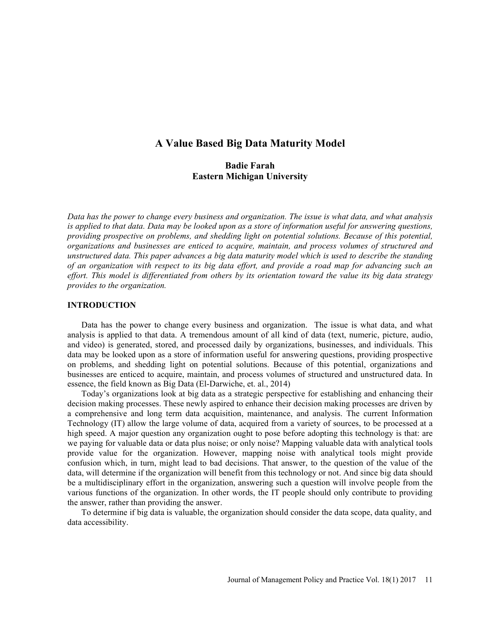# A Value Based Big Data Maturity Model

# Badie Farah Eastern Michigan University

Data has the power to change every business and organization. The issue is what data, and what analysis is applied to that data. Data may be looked upon as a store of information useful for answering questions, providing prospective on problems, and shedding light on potential solutions. Because of this potential, organizations and businesses are enticed to acquire, maintain, and process volumes of structured and unstructured data. This paper advances a big data maturity model which is used to describe the standing of an organization with respect to its big data effort, and provide a road map for advancing such an effort. This model is differentiated from others by its orientation toward the value its big data strategy provides to the organization.

### INTRODUCTION

Data has the power to change every business and organization. The issue is what data, and what analysis is applied to that data. A tremendous amount of all kind of data (text, numeric, picture, audio, and video) is generated, stored, and processed daily by organizations, businesses, and individuals. This data may be looked upon as a store of information useful for answering questions, providing prospective on problems, and shedding light on potential solutions. Because of this potential, organizations and businesses are enticed to acquire, maintain, and process volumes of structured and unstructured data. In essence, the field known as Big Data (El-Darwiche, et. al., 2014)

Today's organizations look at big data as a strategic perspective for establishing and enhancing their decision making processes. These newly aspired to enhance their decision making processes are driven by a comprehensive and long term data acquisition, maintenance, and analysis. The current Information Technology (IT) allow the large volume of data, acquired from a variety of sources, to be processed at a high speed. A major question any organization ought to pose before adopting this technology is that: are we paying for valuable data or data plus noise; or only noise? Mapping valuable data with analytical tools provide value for the organization. However, mapping noise with analytical tools might provide confusion which, in turn, might lead to bad decisions. That answer, to the question of the value of the data, will determine if the organization will benefit from this technology or not. And since big data should be a multidisciplinary effort in the organization, answering such a question will involve people from the various functions of the organization. In other words, the IT people should only contribute to providing the answer, rather than providing the answer.

To determine if big data is valuable, the organization should consider the data scope, data quality, and data accessibility.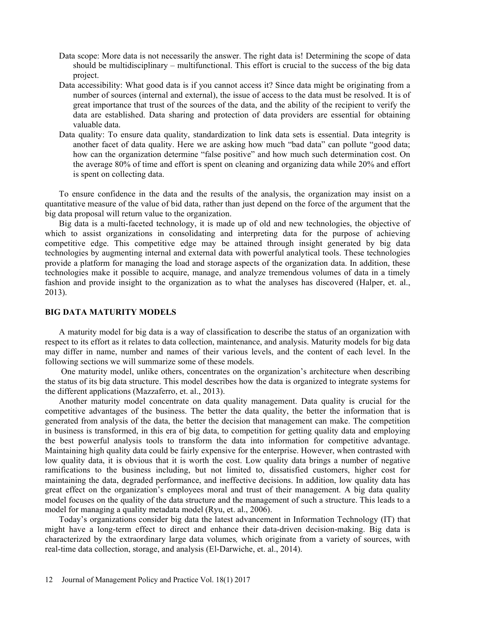- Data scope: More data is not necessarily the answer. The right data is! Determining the scope of data should be multidisciplinary  $-$  multifunctional. This effort is crucial to the success of the big data project.
- Data accessibility: What good data is if you cannot access it? Since data might be originating from a number of sources (internal and external), the issue of access to the data must be resolved. It is of great importance that trust of the sources of the data, and the ability of the recipient to verify the data are established. Data sharing and protection of data providers are essential for obtaining valuable data.
- Data quality: To ensure data quality, standardization to link data sets is essential. Data integrity is another facet of data quality. Here we are asking how much "bad data" can pollute "good data; how can the organization determine "false positive" and how much such determination cost. On the average 80% of time and effort is spent on cleaning and organizing data while 20% and effort is spent on collecting data.

To ensure confidence in the data and the results of the analysis, the organization may insist on a quantitative measure of the value of bid data, rather than just depend on the force of the argument that the big data proposal will return value to the organization.

Big data is a multi-faceted technology, it is made up of old and new technologies, the objective of which to assist organizations in consolidating and interpreting data for the purpose of achieving competitive edge. This competitive edge may be attained through insight generated by big data technologies by augmenting internal and external data with powerful analytical tools. These technologies provide a platform for managing the load and storage aspects of the organization data. In addition, these technologies make it possible to acquire, manage, and analyze tremendous volumes of data in a timely fashion and provide insight to the organization as to what the analyses has discovered (Halper, et. al., 2013).

### BIG DATA MATURITY MODELS

A maturity model for big data is a way of classification to describe the status of an organization with respect to its effort as it relates to data collection, maintenance, and analysis. Maturity models for big data may differ in name, number and names of their various levels, and the content of each level. In the following sections we will summarize some of these models.

One maturity model, unlike others, concentrates on the organization's architecture when describing the status of its big data structure. This model describes how the data is organized to integrate systems for the different applications (Mazzaferro, et. al., 2013).

Another maturity model concentrate on data quality management. Data quality is crucial for the competitive advantages of the business. The better the data quality, the better the information that is generated from analysis of the data, the better the decision that management can make. The competition in business is transformed, in this era of big data, to competition for getting quality data and employing the best powerful analysis tools to transform the data into information for competitive advantage. Maintaining high quality data could be fairly expensive for the enterprise. However, when contrasted with low quality data, it is obvious that it is worth the cost. Low quality data brings a number of negative ramifications to the business including, but not limited to, dissatisfied customers, higher cost for maintaining the data, degraded performance, and ineffective decisions. In addition, low quality data has great effect on the organization's employees moral and trust of their management. A big data quality model focuses on the quality of the data structure and the management of such a structure. This leads to a model for managing a quality metadata model (Ryu, et. al., 2006).

Today's organizations consider big data the latest advancement in Information Technology (IT) that might have a long-term effect to direct and enhance their data-driven decision-making. Big data is characterized by the extraordinary large data volumes, which originate from a variety of sources, with real-time data collection, storage, and analysis (El-Darwiche, et. al., 2014).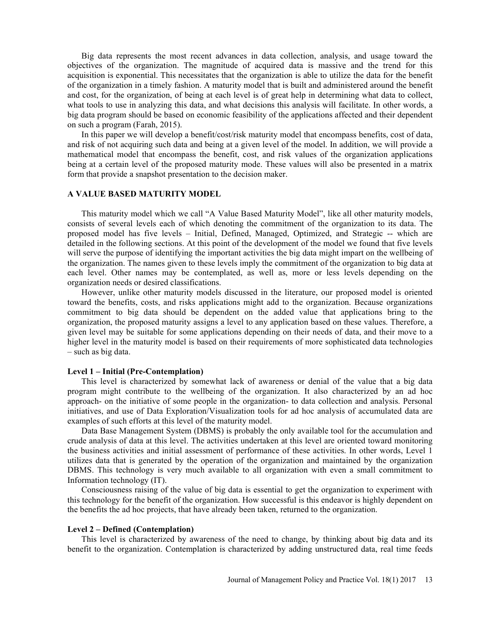Big data represents the most recent advances in data collection, analysis, and usage toward the objectives of the organization. The magnitude of acquired data is massive and the trend for this acquisition is exponential. This necessitates that the organization is able to utilize the data for the benefit of the organization in a timely fashion. A maturity model that is built and administered around the benefit and cost, for the organization, of being at each level is of great help in determining what data to collect, what tools to use in analyzing this data, and what decisions this analysis will facilitate. In other words, a big data program should be based on economic feasibility of the applications affected and their dependent on such a program (Farah, 2015).

In this paper we will develop a benefit/cost/risk maturity model that encompass benefits, cost of data, and risk of not acquiring such data and being at a given level of the model. In addition, we will provide a mathematical model that encompass the benefit, cost, and risk values of the organization applications being at a certain level of the proposed maturity mode. These values will also be presented in a matrix form that provide a snapshot presentation to the decision maker.

## A VALUE BASED MATURITY MODEL

This maturity model which we call "A Value Based Maturity Model", like all other maturity models, consists of several levels each of which denoting the commitment of the organization to its data. The proposed model has five levels Initial, Defined, Managed, Optimized, and Strategic -- which are detailed in the following sections. At this point of the development of the model we found that five levels will serve the purpose of identifying the important activities the big data might impart on the wellbeing of the organization. The names given to these levels imply the commitment of the organization to big data at each level. Other names may be contemplated, as well as, more or less levels depending on the organization needs or desired classifications.

However, unlike other maturity models discussed in the literature, our proposed model is oriented toward the benefits, costs, and risks applications might add to the organization. Because organizations commitment to big data should be dependent on the added value that applications bring to the organization, the proposed maturity assigns a level to any application based on these values. Therefore, a given level may be suitable for some applications depending on their needs of data, and their move to a higher level in the maturity model is based on their requirements of more sophisticated data technologies  $-$  such as big data.

### Level 1 – Initial (Pre-Contemplation)

This level is characterized by somewhat lack of awareness or denial of the value that a big data program might contribute to the wellbeing of the organization. It also characterized by an ad hoc approach- on the initiative of some people in the organization- to data collection and analysis. Personal initiatives, and use of Data Exploration/Visualization tools for ad hoc analysis of accumulated data are examples of such efforts at this level of the maturity model.

Data Base Management System (DBMS) is probably the only available tool for the accumulation and crude analysis of data at this level. The activities undertaken at this level are oriented toward monitoring the business activities and initial assessment of performance of these activities. In other words, Level 1 utilizes data that is generated by the operation of the organization and maintained by the organization DBMS. This technology is very much available to all organization with even a small commitment to Information technology (IT).

Consciousness raising of the value of big data is essential to get the organization to experiment with this technology for the benefit of the organization. How successful is this endeavor is highly dependent on the benefits the ad hoc projects, that have already been taken, returned to the organization.

#### Level 2 – Defined (Contemplation)

This level is characterized by awareness of the need to change, by thinking about big data and its benefit to the organization. Contemplation is characterized by adding unstructured data, real time feeds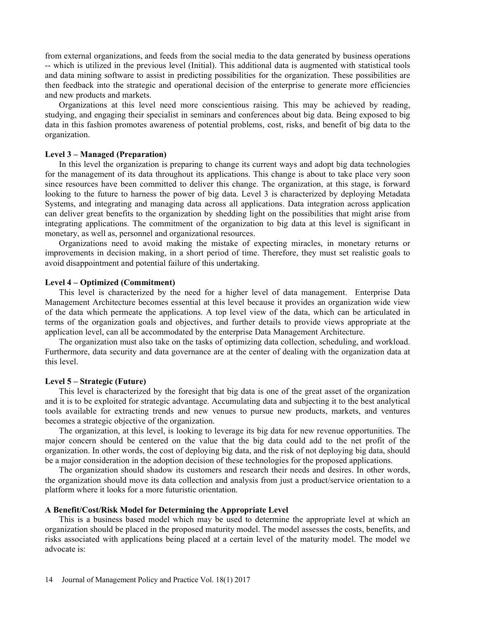from external organizations, and feeds from the social media to the data generated by business operations -- which is utilized in the previous level (Initial). This additional data is augmented with statistical tools and data mining software to assist in predicting possibilities for the organization. These possibilities are then feedback into the strategic and operational decision of the enterprise to generate more efficiencies and new products and markets.

Organizations at this level need more conscientious raising. This may be achieved by reading, studying, and engaging their specialist in seminars and conferences about big data. Being exposed to big data in this fashion promotes awareness of potential problems, cost, risks, and benefit of big data to the organization.

## Level 3 – Managed (Preparation)

In this level the organization is preparing to change its current ways and adopt big data technologies for the management of its data throughout its applications. This change is about to take place very soon since resources have been committed to deliver this change. The organization, at this stage, is forward looking to the future to harness the power of big data. Level 3 is characterized by deploying Metadata Systems, and integrating and managing data across all applications. Data integration across application can deliver great benefits to the organization by shedding light on the possibilities that might arise from integrating applications. The commitment of the organization to big data at this level is significant in monetary, as well as, personnel and organizational resources.

Organizations need to avoid making the mistake of expecting miracles, in monetary returns or improvements in decision making, in a short period of time. Therefore, they must set realistic goals to avoid disappointment and potential failure of this undertaking.

## Level 4 – Optimized (Commitment)

This level is characterized by the need for a higher level of data management. Enterprise Data Management Architecture becomes essential at this level because it provides an organization wide view of the data which permeate the applications. A top level view of the data, which can be articulated in terms of the organization goals and objectives, and further details to provide views appropriate at the application level, can all be accommodated by the enterprise Data Management Architecture.

The organization must also take on the tasks of optimizing data collection, scheduling, and workload. Furthermore, data security and data governance are at the center of dealing with the organization data at this level.

### Level 5 – Strategic (Future)

This level is characterized by the foresight that big data is one of the great asset of the organization and it is to be exploited for strategic advantage. Accumulating data and subjecting it to the best analytical tools available for extracting trends and new venues to pursue new products, markets, and ventures becomes a strategic objective of the organization.

The organization, at this level, is looking to leverage its big data for new revenue opportunities. The major concern should be centered on the value that the big data could add to the net profit of the organization. In other words, the cost of deploying big data, and the risk of not deploying big data, should be a major consideration in the adoption decision of these technologies for the proposed applications.

The organization should shadow its customers and research their needs and desires. In other words, the organization should move its data collection and analysis from just a product/service orientation to a platform where it looks for a more futuristic orientation.

### A Benefit/Cost/Risk Model for Determining the Appropriate Level

This is a business based model which may be used to determine the appropriate level at which an organization should be placed in the proposed maturity model. The model assesses the costs, benefits, and risks associated with applications being placed at a certain level of the maturity model. The model we advocate is: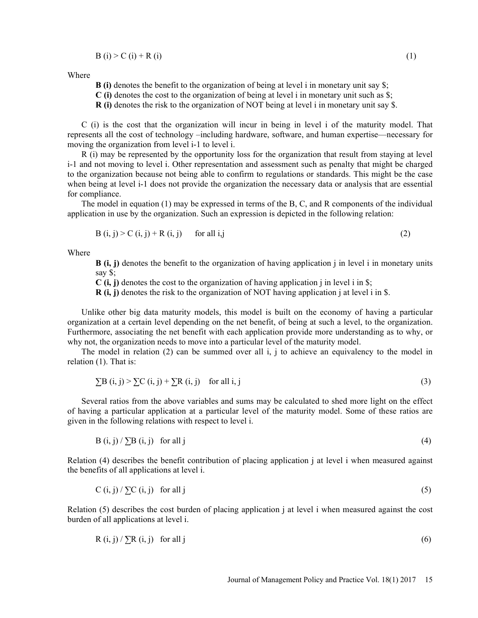$$
B(i) > C(i) + R(i)
$$
 (1)

Where

**B** (i) denotes the benefit to the organization of being at level i in monetary unit say  $\hat{s}$ ;

 $C$  (i) denotes the cost to the organization of being at level i in monetary unit such as  $\hat{s}$ ;

R (i) denotes the risk to the organization of NOT being at level i in monetary unit say \$.

C (i) is the cost that the organization will incur in being in level i of the maturity model. That represents all the cost of technology -including hardware, software, and human expertise—necessary for moving the organization from level i-1 to level i.

R (i) may be represented by the opportunity loss for the organization that result from staying at level i-1 and not moving to level i. Other representation and assessment such as penalty that might be charged to the organization because not being able to confirm to regulations or standards. This might be the case when being at level i-1 does not provide the organization the necessary data or analysis that are essential for compliance.

The model in equation (1) may be expressed in terms of the B, C, and R components of the individual application in use by the organization. Such an expression is depicted in the following relation:

$$
B(i, j) > C(i, j) + R(i, j) \qquad \text{for all } i, j \tag{2}
$$

Where

**B** (i, j) denotes the benefit to the organization of having application j in level i in monetary units say \$;

 $C(i, j)$  denotes the cost to the organization of having application j in level i in \$;

 $R$  (i, j) denotes the risk to the organization of NOT having application j at level i in \$.

Unlike other big data maturity models, this model is built on the economy of having a particular organization at a certain level depending on the net benefit, of being at such a level, to the organization. Furthermore, associating the net benefit with each application provide more understanding as to why, or why not, the organization needs to move into a particular level of the maturity model.

The model in relation (2) can be summed over all i, j to achieve an equivalency to the model in relation (1). That is:

$$
\sum B(i, j) > \sum C(i, j) + \sum R(i, j) \quad \text{for all } i, j \tag{3}
$$

Several ratios from the above variables and sums may be calculated to shed more light on the effect of having a particular application at a particular level of the maturity model. Some of these ratios are given in the following relations with respect to level i.

$$
B(i, j) / \sum B(i, j) \quad \text{for all } j \tag{4}
$$

Relation (4) describes the benefit contribution of placing application j at level i when measured against the benefits of all applications at level i.

$$
C(i, j) / \sum C(i, j) \quad \text{for all } j \tag{5}
$$

Relation (5) describes the cost burden of placing application j at level i when measured against the cost burden of all applications at level i.

$$
R(i, j) / \sum R(i, j) \quad \text{for all } j \tag{6}
$$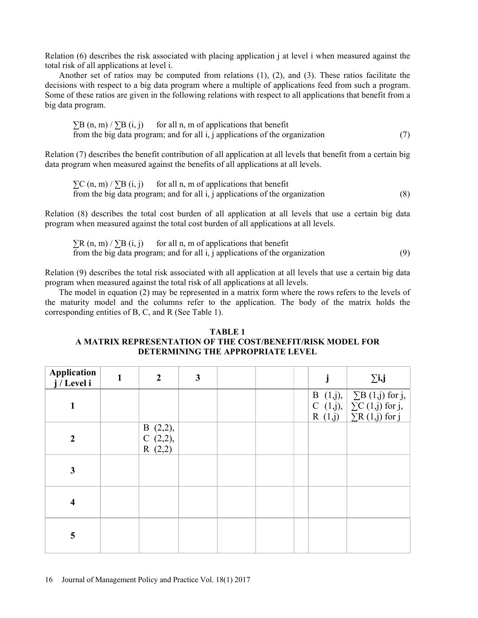Relation (6) describes the risk associated with placing application j at level i when measured against the total risk of all applications at level i.

Another set of ratios may be computed from relations (1), (2), and (3). These ratios facilitate the decisions with respect to a big data program where a multiple of applications feed from such a program. Some of these ratios are given in the following relations with respect to all applications that benefit from a big data program.

 $\sum B(n, m) / \sum B(i, i)$  for all n, m of applications that benefit from the big data program; and for all  $i$ , j applications of the organization  $(7)$ 

Relation (7) describes the benefit contribution of all application at all levels that benefit from a certain big data program when measured against the benefits of all applications at all levels.

 $\sum$ C (n, m) /  $\sum$ B (i, j) for all n, m of applications that benefit from the big data program; and for all i, j applications of the organization  $(8)$ 

Relation (8) describes the total cost burden of all application at all levels that use a certain big data program when measured against the total cost burden of all applications at all levels.

 $\sum R(n, m) / \sum B(i, i)$  for all n, m of applications that benefit from the big data program; and for all i, j applications of the organization  $(9)$ 

Relation (9) describes the total risk associated with all application at all levels that use a certain big data program when measured against the total risk of all applications at all levels.

The model in equation (2) may be represented in a matrix form where the rows refers to the levels of the maturity model and the columns refer to the application. The body of the matrix holds the corresponding entities of B, C, and R (See Table 1).

# TABLE 1 A MATRIX REPRESENTATION OF THE COST/BENEFIT/RISK MODEL FOR DETERMINING THE APPROPRIATE LEVEL

| Application<br>j/Level i | 1 | $\boldsymbol{2}$                     | $\mathbf{3}$ |  |  | $\Sigma$ i,j                                                                                           |
|--------------------------|---|--------------------------------------|--------------|--|--|--------------------------------------------------------------------------------------------------------|
| 1                        |   |                                      |              |  |  | B (1,j), $\Sigma B$ (1,j) for j,<br>C (1,j), $\Sigma C$ (1,j) for j,<br>R (1,j) $\Sigma R$ (1,j) for j |
| $\overline{2}$           |   | B $(2,2)$ ,<br>C $(2,2)$ ,<br>R(2,2) |              |  |  |                                                                                                        |
| $\mathbf{3}$             |   |                                      |              |  |  |                                                                                                        |
| $\overline{\mathbf{4}}$  |   |                                      |              |  |  |                                                                                                        |
| 5                        |   |                                      |              |  |  |                                                                                                        |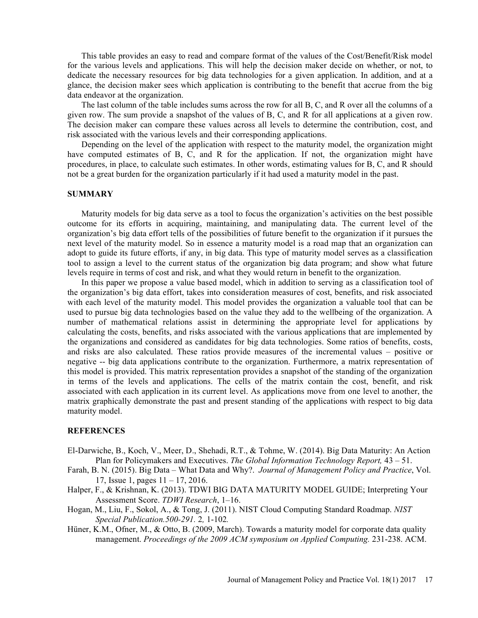This table provides an easy to read and compare format of the values of the Cost/Benefit/Risk model for the various levels and applications. This will help the decision maker decide on whether, or not, to dedicate the necessary resources for big data technologies for a given application. In addition, and at a glance, the decision maker sees which application is contributing to the benefit that accrue from the big data endeavor at the organization.

The last column of the table includes sums across the row for all B, C, and R over all the columns of a given row. The sum provide a snapshot of the values of B, C, and R for all applications at a given row. The decision maker can compare these values across all levels to determine the contribution, cost, and risk associated with the various levels and their corresponding applications.

Depending on the level of the application with respect to the maturity model, the organization might have computed estimates of B, C, and R for the application. If not, the organization might have procedures, in place, to calculate such estimates. In other words, estimating values for B, C, and R should not be a great burden for the organization particularly if it had used a maturity model in the past.

### SUMMARY

Maturity models for big data serve as a tool to focus the organization's activities on the best possible outcome for its efforts in acquiring, maintaining, and manipulating data. The current level of the organization's big data effort tells of the possibilities of future benefit to the organization if it pursues the next level of the maturity model. So in essence a maturity model is a road map that an organization can adopt to guide its future efforts, if any, in big data. This type of maturity model serves as a classification tool to assign a level to the current status of the organization big data program; and show what future levels require in terms of cost and risk, and what they would return in benefit to the organization.

In this paper we propose a value based model, which in addition to serving as a classification tool of the organization's big data effort, takes into consideration measures of cost, benefits, and risk associated with each level of the maturity model. This model provides the organization a valuable tool that can be used to pursue big data technologies based on the value they add to the wellbeing of the organization. A number of mathematical relations assist in determining the appropriate level for applications by calculating the costs, benefits, and risks associated with the various applications that are implemented by the organizations and considered as candidates for big data technologies. Some ratios of benefits, costs, and risks are also calculated. These ratios provide measures of the incremental values – positive or negative -- big data applications contribute to the organization. Furthermore, a matrix representation of this model is provided. This matrix representation provides a snapshot of the standing of the organization in terms of the levels and applications. The cells of the matrix contain the cost, benefit, and risk associated with each application in its current level. As applications move from one level to another, the matrix graphically demonstrate the past and present standing of the applications with respect to big data maturity model.

### **REFERENCES**

- El-Darwiche, B., Koch, V., Meer, D., Shehadi, R.T., & Tohme, W. (2014). Big Data Maturity: An Action Plan for Policymakers and Executives. The Global Information Technology Report,  $43 - 51$ .
- Farah, B. N. (2015). Big Data What Data and Why?. Journal of Management Policy and Practice, Vol. 17, Issue 1, pages  $11 - 17$ , 2016.
- Halper, F., & Krishnan, K. (2013). TDWI BIG DATA MATURITY MODEL GUIDE; Interpreting Your Assessment Score. TDWI Research, 1-16.
- Hogan, M., Liu, F., Sokol, A., & Tong, J. (2011). NIST Cloud Computing Standard Roadmap. NIST Special Publication.500-291. 2, 1-102.
- Hüner, K.M., Ofner, M., & Otto, B. (2009, March). Towards a maturity model for corporate data quality management. Proceedings of the 2009 ACM symposium on Applied Computing. 231-238. ACM.